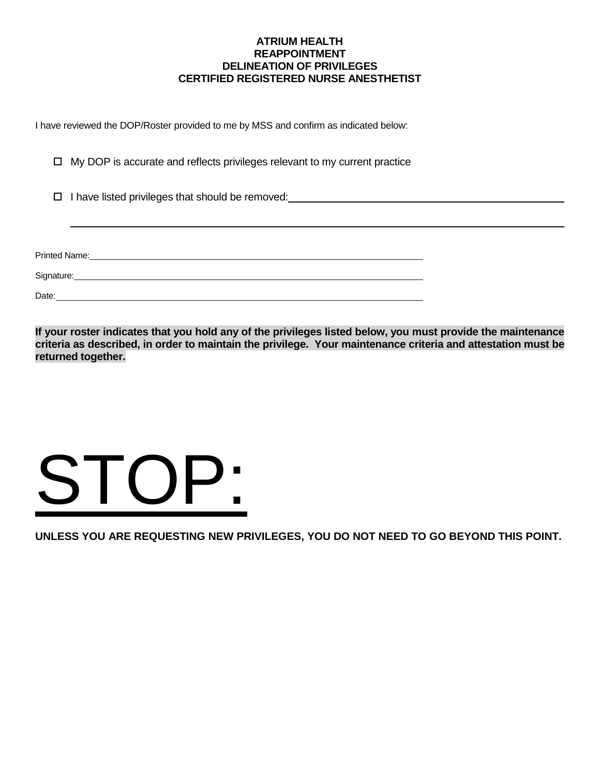# **ATRIUM HEALTH REAPPOINTMENT DELINEATION OF PRIVILEGES CERTIFIED REGISTERED NURSE ANESTHETIST**

I have reviewed the DOP/Roster provided to me by MSS and confirm as indicated below:

 $\Box$  My DOP is accurate and reflects privileges relevant to my current practice

□ I have listed privileges that should be removed: I have listed privileges that should be removed:

Printed Name:

Signature: <u>Contractor Contractor</u>

Date: experience and the contract of the contract of the contract of the contract of the contract of the contract of the contract of the contract of the contract of the contract of the contract of the contract of the contr

**If your roster indicates that you hold any of the privileges listed below, you must provide the maintenance criteria as described, in order to maintain the privilege. Your maintenance criteria and attestation must be returned together.**

# STOP:

**UNLESS YOU ARE REQUESTING NEW PRIVILEGES, YOU DO NOT NEED TO GO BEYOND THIS POINT.**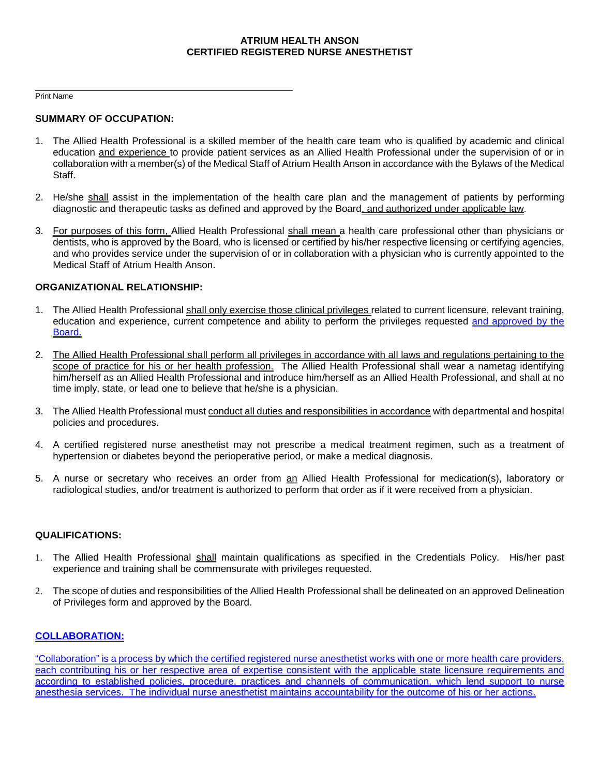# **ATRIUM HEALTH ANSON CERTIFIED REGISTERED NURSE ANESTHETIST**

Print Name

# **SUMMARY OF OCCUPATION:**

- 1. The Allied Health Professional is a skilled member of the health care team who is qualified by academic and clinical education and experience to provide patient services as an Allied Health Professional under the supervision of or in collaboration with a member(s) of the Medical Staff of Atrium Health Anson in accordance with the Bylaws of the Medical Staff.
- 2. He/she shall assist in the implementation of the health care plan and the management of patients by performing diagnostic and therapeutic tasks as defined and approved by the Board, and authorized under applicable law.
- 3. For purposes of this form, Allied Health Professional shall mean a health care professional other than physicians or dentists, who is approved by the Board, who is licensed or certified by his/her respective licensing or certifying agencies, and who provides service under the supervision of or in collaboration with a physician who is currently appointed to the Medical Staff of Atrium Health Anson.

# **ORGANIZATIONAL RELATIONSHIP:**

- 1. The Allied Health Professional shall only exercise those clinical privileges related to current licensure, relevant training, education and experience, current competence and ability to perform the privileges requested and approved by the Board.
- 2. The Allied Health Professional shall perform all privileges in accordance with all laws and regulations pertaining to the scope of practice for his or her health profession. The Allied Health Professional shall wear a nametag identifying him/herself as an Allied Health Professional and introduce him/herself as an Allied Health Professional, and shall at no time imply, state, or lead one to believe that he/she is a physician.
- 3. The Allied Health Professional must conduct all duties and responsibilities in accordance with departmental and hospital policies and procedures.
- 4. A certified registered nurse anesthetist may not prescribe a medical treatment regimen, such as a treatment of hypertension or diabetes beyond the perioperative period, or make a medical diagnosis.
- 5. A nurse or secretary who receives an order from an Allied Health Professional for medication(s), laboratory or radiological studies, and/or treatment is authorized to perform that order as if it were received from a physician.

#### **QUALIFICATIONS:**

- 1. The Allied Health Professional shall maintain qualifications as specified in the Credentials Policy. His/her past experience and training shall be commensurate with privileges requested.
- 2. The scope of duties and responsibilities of the Allied Health Professional shall be delineated on an approved Delineation of Privileges form and approved by the Board.

# **COLLABORATION:**

"Collaboration" is a process by which the certified registered nurse anesthetist works with one or more health care providers, each contributing his or her respective area of expertise consistent with the applicable state licensure requirements and according to established policies, procedure, practices and channels of communication, which lend support to nurse anesthesia services. The individual nurse anesthetist maintains accountability for the outcome of his or her actions.